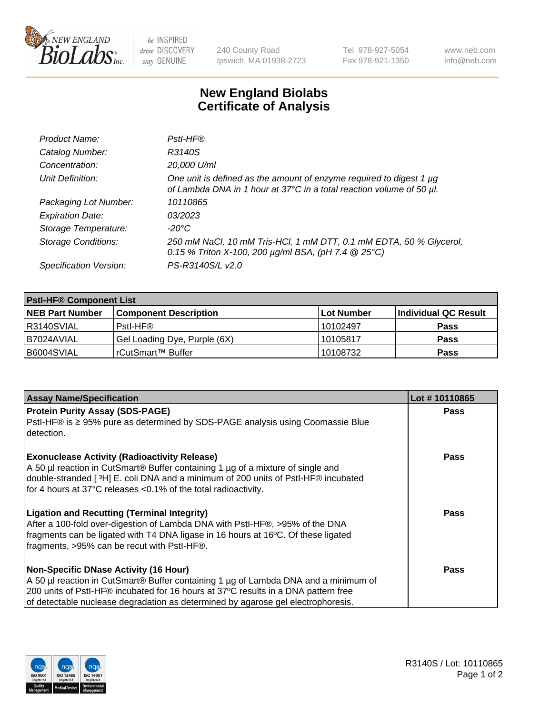

 $be$  INSPIRED drive DISCOVERY stay GENUINE

240 County Road Ipswich, MA 01938-2723 Tel 978-927-5054 Fax 978-921-1350 www.neb.com info@neb.com

## **New England Biolabs Certificate of Analysis**

| Product Name:              | Pstl-HF®                                                                                                                                             |
|----------------------------|------------------------------------------------------------------------------------------------------------------------------------------------------|
| Catalog Number:            | R3140S                                                                                                                                               |
| Concentration:             | 20,000 U/ml                                                                                                                                          |
| Unit Definition:           | One unit is defined as the amount of enzyme required to digest 1 $\mu$ g<br>of Lambda DNA in 1 hour at 37°C in a total reaction volume of 50 µl.     |
| Packaging Lot Number:      | 10110865                                                                                                                                             |
| <b>Expiration Date:</b>    | 03/2023                                                                                                                                              |
| Storage Temperature:       | $-20^{\circ}$ C                                                                                                                                      |
| <b>Storage Conditions:</b> | 250 mM NaCl, 10 mM Tris-HCl, 1 mM DTT, 0.1 mM EDTA, 50 % Glycerol,<br>0.15 % Triton X-100, 200 $\mu$ g/ml BSA, (pH 7.4 $\textcircled{25}^{\circ}$ C) |
| Specification Version:     | PS-R3140S/L v2.0                                                                                                                                     |

| <b>PstI-HF® Component List</b> |                              |            |                      |  |
|--------------------------------|------------------------------|------------|----------------------|--|
| <b>NEB Part Number</b>         | <b>Component Description</b> | Lot Number | Individual QC Result |  |
| R3140SVIAL                     | Pstl-HF®                     | 10102497   | <b>Pass</b>          |  |
| B7024AVIAL                     | Gel Loading Dye, Purple (6X) | 10105817   | <b>Pass</b>          |  |
| B6004SVIAL                     | l rCutSmart™ Buffer          | 10108732   | <b>Pass</b>          |  |

| <b>Assay Name/Specification</b>                                                                                                                                                                                                                                                                               | Lot #10110865 |
|---------------------------------------------------------------------------------------------------------------------------------------------------------------------------------------------------------------------------------------------------------------------------------------------------------------|---------------|
| <b>Protein Purity Assay (SDS-PAGE)</b>                                                                                                                                                                                                                                                                        | <b>Pass</b>   |
| PstI-HF® is ≥ 95% pure as determined by SDS-PAGE analysis using Coomassie Blue<br>detection.                                                                                                                                                                                                                  |               |
| <b>Exonuclease Activity (Radioactivity Release)</b><br>A 50 µl reaction in CutSmart® Buffer containing 1 µg of a mixture of single and<br>double-stranded [ <sup>3</sup> H] E. coli DNA and a minimum of 200 units of PstI-HF® incubated<br>for 4 hours at 37°C releases <0.1% of the total radioactivity.    | Pass          |
| <b>Ligation and Recutting (Terminal Integrity)</b><br>After a 100-fold over-digestion of Lambda DNA with Pstl-HF®, >95% of the DNA<br>fragments can be ligated with T4 DNA ligase in 16 hours at 16°C. Of these ligated<br>fragments, >95% can be recut with Pstl-HF®.                                        | Pass          |
| <b>Non-Specific DNase Activity (16 Hour)</b><br>A 50 µl reaction in CutSmart® Buffer containing 1 µg of Lambda DNA and a minimum of<br>200 units of Pstl-HF® incubated for 16 hours at 37°C results in a DNA pattern free<br>of detectable nuclease degradation as determined by agarose gel electrophoresis. | <b>Pass</b>   |